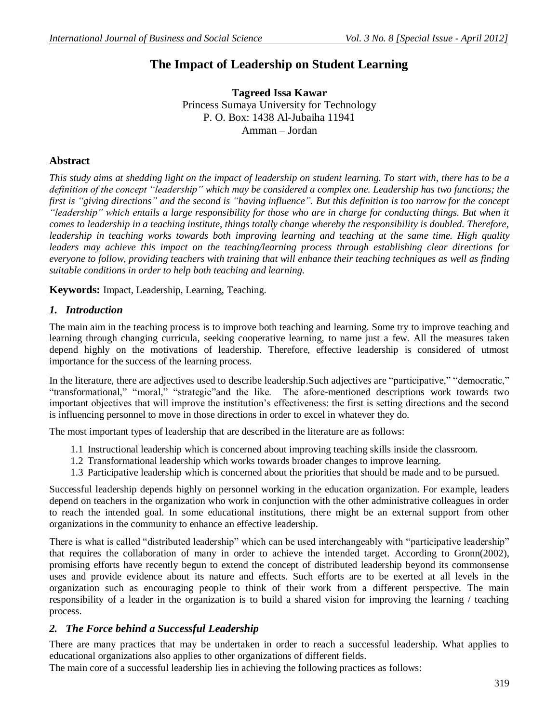# **The Impact of Leadership on Student Learning**

**Tagreed Issa Kawar** Princess Sumaya University for Technology P. O. Box: 1438 Al-Jubaiha 11941 Amman – Jordan

### **Abstract**

*This study aims at shedding light on the impact of leadership on student learning. To start with, there has to be a definition of the concept "leadership" which may be considered a complex one. Leadership has two functions; the first is "giving directions" and the second is "having influence". But this definition is too narrow for the concept "leadership" which entails a large responsibility for those who are in charge for conducting things. But when it comes to leadership in a teaching institute, things totally change whereby the responsibility is doubled. Therefore, leadership in teaching works towards both improving learning and teaching at the same time. High quality leaders may achieve this impact on the teaching/learning process through establishing clear directions for everyone to follow, providing teachers with training that will enhance their teaching techniques as well as finding suitable conditions in order to help both teaching and learning.*

**Keywords:** Impact, Leadership, Learning, Teaching.

#### *1. Introduction*

The main aim in the teaching process is to improve both teaching and learning. Some try to improve teaching and learning through changing curricula, seeking cooperative learning, to name just a few. All the measures taken depend highly on the motivations of leadership. Therefore, effective leadership is considered of utmost importance for the success of the learning process.

In the literature, there are adjectives used to describe leadership.Such adjectives are "participative," "democratic," "transformational," "moral," "strategic"and the like. The afore-mentioned descriptions work towards two important objectives that will improve the institution's effectiveness: the first is setting directions and the second is influencing personnel to move in those directions in order to excel in whatever they do.

The most important types of leadership that are described in the literature are as follows:

- 1.1 Instructional leadership which is concerned about improving teaching skills inside the classroom.
- 1.2 Transformational leadership which works towards broader changes to improve learning.
- 1.3 Participative leadership which is concerned about the priorities that should be made and to be pursued.

Successful leadership depends highly on personnel working in the education organization. For example, leaders depend on teachers in the organization who work in conjunction with the other administrative colleagues in order to reach the intended goal. In some educational institutions, there might be an external support from other organizations in the community to enhance an effective leadership.

There is what is called "distributed leadership" which can be used interchangeably with "participative leadership" that requires the collaboration of many in order to achieve the intended target. According to Gronn(2002), promising efforts have recently begun to extend the concept of distributed leadership beyond its commonsense uses and provide evidence about its nature and effects. Such efforts are to be exerted at all levels in the organization such as encouraging people to think of their work from a different perspective. The main responsibility of a leader in the organization is to build a shared vision for improving the learning / teaching process.

#### *2. The Force behind a Successful Leadership*

There are many practices that may be undertaken in order to reach a successful leadership. What applies to educational organizations also applies to other organizations of different fields.

The main core of a successful leadership lies in achieving the following practices as follows: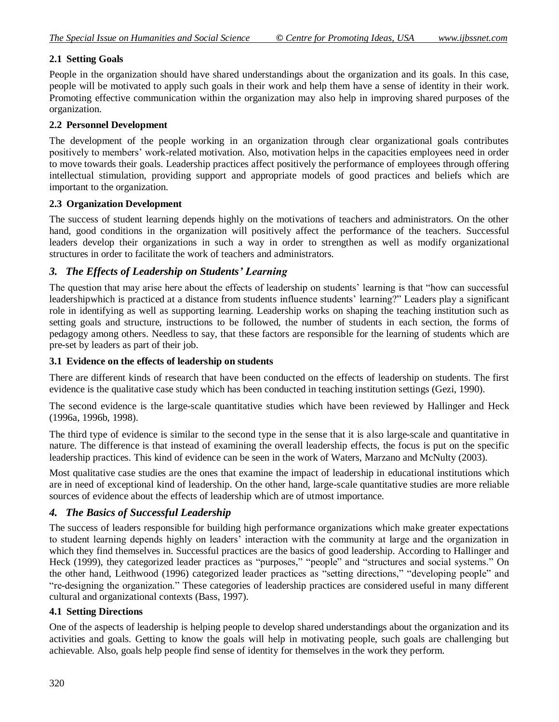#### **2.1 Setting Goals**

People in the organization should have shared understandings about the organization and its goals. In this case, people will be motivated to apply such goals in their work and help them have a sense of identity in their work. Promoting effective communication within the organization may also help in improving shared purposes of the organization.

#### **2.2 Personnel Development**

The development of the people working in an organization through clear organizational goals contributes positively to members' work-related motivation. Also, motivation helps in the capacities employees need in order to move towards their goals. Leadership practices affect positively the performance of employees through offering intellectual stimulation, providing support and appropriate models of good practices and beliefs which are important to the organization.

#### **2.3 Organization Development**

The success of student learning depends highly on the motivations of teachers and administrators. On the other hand, good conditions in the organization will positively affect the performance of the teachers. Successful leaders develop their organizations in such a way in order to strengthen as well as modify organizational structures in order to facilitate the work of teachers and administrators.

# *3. The Effects of Leadership on Students' Learning*

The question that may arise here about the effects of leadership on students' learning is that "how can successful leadershipwhich is practiced at a distance from students influence students' learning?" Leaders play a significant role in identifying as well as supporting learning. Leadership works on shaping the teaching institution such as setting goals and structure, instructions to be followed, the number of students in each section, the forms of pedagogy among others. Needless to say, that these factors are responsible for the learning of students which are pre-set by leaders as part of their job.

#### **3.1 Evidence on the effects of leadership on students**

There are different kinds of research that have been conducted on the effects of leadership on students. The first evidence is the qualitative case study which has been conducted in teaching institution settings (Gezi, 1990).

The second evidence is the large-scale quantitative studies which have been reviewed by Hallinger and Heck (1996a, 1996b, 1998).

The third type of evidence is similar to the second type in the sense that it is also large-scale and quantitative in nature. The difference is that instead of examining the overall leadership effects, the focus is put on the specific leadership practices. This kind of evidence can be seen in the work of Waters, Marzano and McNulty (2003).

Most qualitative case studies are the ones that examine the impact of leadership in educational institutions which are in need of exceptional kind of leadership. On the other hand, large-scale quantitative studies are more reliable sources of evidence about the effects of leadership which are of utmost importance.

#### *4. The Basics of Successful Leadership*

The success of leaders responsible for building high performance organizations which make greater expectations to student learning depends highly on leaders' interaction with the community at large and the organization in which they find themselves in. Successful practices are the basics of good leadership. According to Hallinger and Heck (1999), they categorized leader practices as "purposes," "people" and "structures and social systems." On the other hand, Leithwood (1996) categorized leader practices as "setting directions," "developing people" and "re-designing the organization." These categories of leadership practices are considered useful in many different cultural and organizational contexts (Bass, 1997).

#### **4.1 Setting Directions**

One of the aspects of leadership is helping people to develop shared understandings about the organization and its activities and goals. Getting to know the goals will help in motivating people, such goals are challenging but achievable. Also, goals help people find sense of identity for themselves in the work they perform.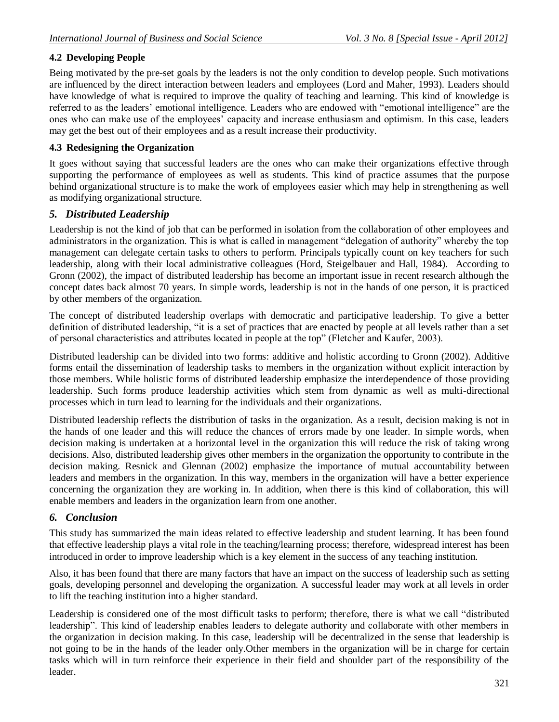# **4.2 Developing People**

Being motivated by the pre-set goals by the leaders is not the only condition to develop people. Such motivations are influenced by the direct interaction between leaders and employees (Lord and Maher, 1993). Leaders should have knowledge of what is required to improve the quality of teaching and learning. This kind of knowledge is referred to as the leaders' emotional intelligence. Leaders who are endowed with "emotional intelligence" are the ones who can make use of the employees' capacity and increase enthusiasm and optimism. In this case, leaders may get the best out of their employees and as a result increase their productivity.

# **4.3 Redesigning the Organization**

It goes without saying that successful leaders are the ones who can make their organizations effective through supporting the performance of employees as well as students. This kind of practice assumes that the purpose behind organizational structure is to make the work of employees easier which may help in strengthening as well as modifying organizational structure.

# *5. Distributed Leadership*

Leadership is not the kind of job that can be performed in isolation from the collaboration of other employees and administrators in the organization. This is what is called in management "delegation of authority" whereby the top management can delegate certain tasks to others to perform. Principals typically count on key teachers for such leadership, along with their local administrative colleagues (Hord, Steigelbauer and Hall, 1984). According to Gronn (2002), the impact of distributed leadership has become an important issue in recent research although the concept dates back almost 70 years. In simple words, leadership is not in the hands of one person, it is practiced by other members of the organization.

The concept of distributed leadership overlaps with democratic and participative leadership. To give a better definition of distributed leadership, "it is a set of practices that are enacted by people at all levels rather than a set of personal characteristics and attributes located in people at the top" (Fletcher and Kaufer, 2003).

Distributed leadership can be divided into two forms: additive and holistic according to Gronn (2002). Additive forms entail the dissemination of leadership tasks to members in the organization without explicit interaction by those members. While holistic forms of distributed leadership emphasize the interdependence of those providing leadership. Such forms produce leadership activities which stem from dynamic as well as multi-directional processes which in turn lead to learning for the individuals and their organizations.

Distributed leadership reflects the distribution of tasks in the organization. As a result, decision making is not in the hands of one leader and this will reduce the chances of errors made by one leader. In simple words, when decision making is undertaken at a horizontal level in the organization this will reduce the risk of taking wrong decisions. Also, distributed leadership gives other members in the organization the opportunity to contribute in the decision making. Resnick and Glennan (2002) emphasize the importance of mutual accountability between leaders and members in the organization. In this way, members in the organization will have a better experience concerning the organization they are working in. In addition, when there is this kind of collaboration, this will enable members and leaders in the organization learn from one another.

# *6. Conclusion*

This study has summarized the main ideas related to effective leadership and student learning. It has been found that effective leadership plays a vital role in the teaching/learning process; therefore, widespread interest has been introduced in order to improve leadership which is a key element in the success of any teaching institution.

Also, it has been found that there are many factors that have an impact on the success of leadership such as setting goals, developing personnel and developing the organization. A successful leader may work at all levels in order to lift the teaching institution into a higher standard.

Leadership is considered one of the most difficult tasks to perform; therefore, there is what we call "distributed leadership". This kind of leadership enables leaders to delegate authority and collaborate with other members in the organization in decision making. In this case, leadership will be decentralized in the sense that leadership is not going to be in the hands of the leader only.Other members in the organization will be in charge for certain tasks which will in turn reinforce their experience in their field and shoulder part of the responsibility of the leader.